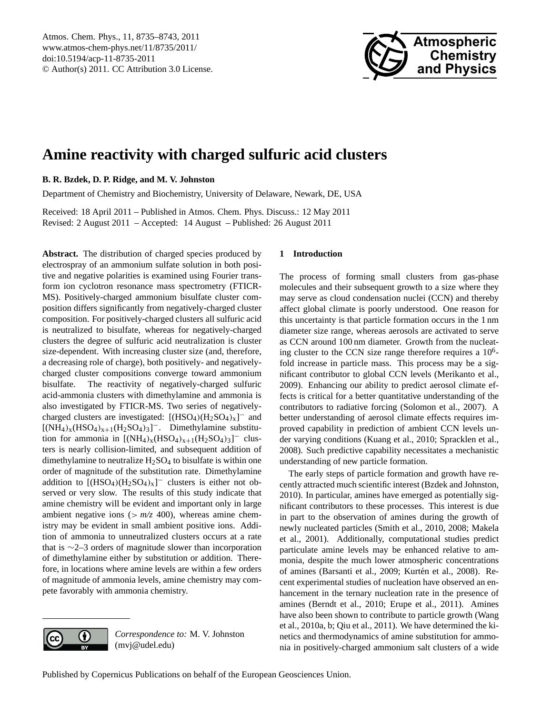<span id="page-0-0"></span>Atmos. Chem. Phys., 11, 8735–8743, 2011 www.atmos-chem-phys.net/11/8735/2011/ doi:10.5194/acp-11-8735-2011 © Author(s) 2011. CC Attribution 3.0 License.



# **Amine reactivity with charged sulfuric acid clusters**

**B. R. Bzdek, D. P. Ridge, and M. V. Johnston**

Department of Chemistry and Biochemistry, University of Delaware, Newark, DE, USA

Received: 18 April 2011 – Published in Atmos. Chem. Phys. Discuss.: 12 May 2011 Revised: 2 August 2011 – Accepted: 14 August – Published: 26 August 2011

**Abstract.** The distribution of charged species produced by electrospray of an ammonium sulfate solution in both positive and negative polarities is examined using Fourier transform ion cyclotron resonance mass spectrometry (FTICR-MS). Positively-charged ammonium bisulfate cluster composition differs significantly from negatively-charged cluster composition. For positively-charged clusters all sulfuric acid is neutralized to bisulfate, whereas for negatively-charged clusters the degree of sulfuric acid neutralization is cluster size-dependent. With increasing cluster size (and, therefore, a decreasing role of charge), both positively- and negativelycharged cluster compositions converge toward ammonium bisulfate. The reactivity of negatively-charged sulfuric acid-ammonia clusters with dimethylamine and ammonia is also investigated by FTICR-MS. Two series of negativelycharged clusters are investigated:  $[(HSO<sub>4</sub>)(H<sub>2</sub>SO<sub>4</sub>)<sub>x</sub>]$ <sup>-</sup> and  $[(NH_4)_x(HSO_4)_{x+1}(H_2SO_4)_3]$ <sup>-</sup>. Dimethylamine substitution for ammonia in  $[(NH_4)_x(HSO_4)_{x+1}(H_2SO_4)_3]$ <sup>-</sup> clusters is nearly collision-limited, and subsequent addition of dimethylamine to neutralize  $H_2SO_4$  to bisulfate is within one order of magnitude of the substitution rate. Dimethylamine addition to  $[(HSO<sub>4</sub>)(H<sub>2</sub>SO<sub>4</sub>)<sub>x</sub>]$ <sup>-</sup> clusters is either not observed or very slow. The results of this study indicate that amine chemistry will be evident and important only in large ambient negative ions ( $>m/z$  400), whereas amine chemistry may be evident in small ambient positive ions. Addition of ammonia to unneutralized clusters occurs at a rate that is ∼2–3 orders of magnitude slower than incorporation of dimethylamine either by substitution or addition. Therefore, in locations where amine levels are within a few orders of magnitude of ammonia levels, amine chemistry may compete favorably with ammonia chemistry.

#### **1 Introduction**

The process of forming small clusters from gas-phase molecules and their subsequent growth to a size where they may serve as cloud condensation nuclei (CCN) and thereby affect global climate is poorly understood. One reason for this uncertainty is that particle formation occurs in the 1 nm diameter size range, whereas aerosols are activated to serve as CCN around 100 nm diameter. Growth from the nucleating cluster to the CCN size range therefore requires a  $10^6$ fold increase in particle mass. This process may be a significant contributor to global CCN levels (Merikanto et al., 2009). Enhancing our ability to predict aerosol climate effects is critical for a better quantitative understanding of the contributors to radiative forcing (Solomon et al., 2007). A better understanding of aerosol climate effects requires improved capability in prediction of ambient CCN levels under varying conditions (Kuang et al., 2010; Spracklen et al., 2008). Such predictive capability necessitates a mechanistic understanding of new particle formation.

The early steps of particle formation and growth have recently attracted much scientific interest (Bzdek and Johnston, 2010). In particular, amines have emerged as potentially significant contributors to these processes. This interest is due in part to the observation of amines during the growth of newly nucleated particles (Smith et al., 2010, 2008; Makela et al., 2001). Additionally, computational studies predict particulate amine levels may be enhanced relative to ammonia, despite the much lower atmospheric concentrations of amines (Barsanti et al., 2009; Kurtén et al., 2008). Recent experimental studies of nucleation have observed an enhancement in the ternary nucleation rate in the presence of amines (Berndt et al., 2010; Erupe et al., 2011). Amines have also been shown to contribute to particle growth (Wang et al., 2010a, b; Qiu et al., 2011). We have determined the kinetics and thermodynamics of amine substitution for ammonia in positively-charged ammonium salt clusters of a wide



*Correspondence to:* M. V. Johnston (mvj@udel.edu)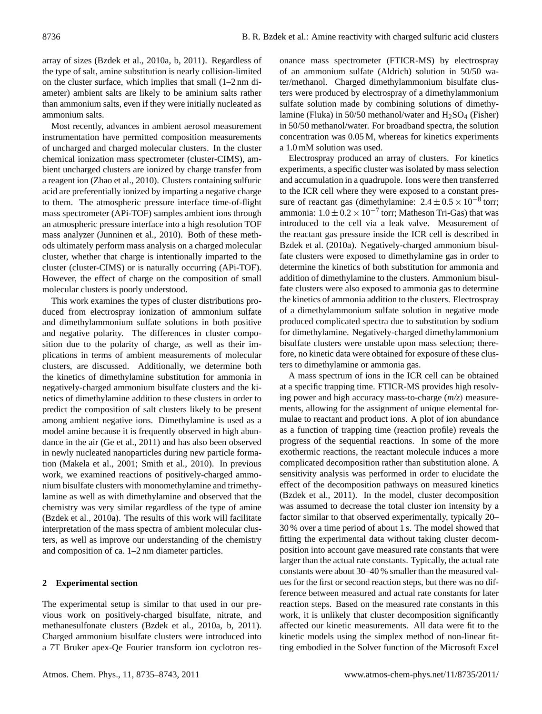array of sizes (Bzdek et al., 2010a, b, 2011). Regardless of the type of salt, amine substitution is nearly collision-limited on the cluster surface, which implies that small (1–2 nm diameter) ambient salts are likely to be aminium salts rather than ammonium salts, even if they were initially nucleated as ammonium salts.

Most recently, advances in ambient aerosol measurement instrumentation have permitted composition measurements of uncharged and charged molecular clusters. In the cluster chemical ionization mass spectrometer (cluster-CIMS), ambient uncharged clusters are ionized by charge transfer from a reagent ion (Zhao et al., 2010). Clusters containing sulfuric acid are preferentially ionized by imparting a negative charge to them. The atmospheric pressure interface time-of-flight mass spectrometer (APi-TOF) samples ambient ions through an atmospheric pressure interface into a high resolution TOF mass analyzer (Junninen et al., 2010). Both of these methods ultimately perform mass analysis on a charged molecular cluster, whether that charge is intentionally imparted to the cluster (cluster-CIMS) or is naturally occurring (APi-TOF). However, the effect of charge on the composition of small molecular clusters is poorly understood.

This work examines the types of cluster distributions produced from electrospray ionization of ammonium sulfate and dimethylammonium sulfate solutions in both positive and negative polarity. The differences in cluster composition due to the polarity of charge, as well as their implications in terms of ambient measurements of molecular clusters, are discussed. Additionally, we determine both the kinetics of dimethylamine substitution for ammonia in negatively-charged ammonium bisulfate clusters and the kinetics of dimethylamine addition to these clusters in order to predict the composition of salt clusters likely to be present among ambient negative ions. Dimethylamine is used as a model amine because it is frequently observed in high abundance in the air (Ge et al., 2011) and has also been observed in newly nucleated nanoparticles during new particle formation (Makela et al., 2001; Smith et al., 2010). In previous work, we examined reactions of positively-charged ammonium bisulfate clusters with monomethylamine and trimethylamine as well as with dimethylamine and observed that the chemistry was very similar regardless of the type of amine (Bzdek et al., 2010a). The results of this work will facilitate interpretation of the mass spectra of ambient molecular clusters, as well as improve our understanding of the chemistry and composition of ca. 1–2 nm diameter particles.

### **2 Experimental section**

The experimental setup is similar to that used in our previous work on positively-charged bisulfate, nitrate, and methanesulfonate clusters (Bzdek et al., 2010a, b, 2011). Charged ammonium bisulfate clusters were introduced into a 7T Bruker apex-Qe Fourier transform ion cyclotron resonance mass spectrometer (FTICR-MS) by electrospray of an ammonium sulfate (Aldrich) solution in 50/50 water/methanol. Charged dimethylammonium bisulfate clusters were produced by electrospray of a dimethylammonium sulfate solution made by combining solutions of dimethylamine (Fluka) in 50/50 methanol/water and  $H_2SO_4$  (Fisher) in 50/50 methanol/water. For broadband spectra, the solution concentration was 0.05 M, whereas for kinetics experiments a 1.0 mM solution was used.

Electrospray produced an array of clusters. For kinetics experiments, a specific cluster was isolated by mass selection and accumulation in a quadrupole. Ions were then transferred to the ICR cell where they were exposed to a constant pressure of reactant gas (dimethylamine:  $2.4 \pm 0.5 \times 10^{-8}$  torr; ammonia:  $1.0 \pm 0.2 \times 10^{-7}$  torr; Matheson Tri-Gas) that was introduced to the cell via a leak valve. Measurement of the reactant gas pressure inside the ICR cell is described in Bzdek et al. (2010a). Negatively-charged ammonium bisulfate clusters were exposed to dimethylamine gas in order to determine the kinetics of both substitution for ammonia and addition of dimethylamine to the clusters. Ammonium bisulfate clusters were also exposed to ammonia gas to determine the kinetics of ammonia addition to the clusters. Electrospray of a dimethylammonium sulfate solution in negative mode produced complicated spectra due to substitution by sodium for dimethylamine. Negatively-charged dimethylammonium bisulfate clusters were unstable upon mass selection; therefore, no kinetic data were obtained for exposure of these clusters to dimethylamine or ammonia gas.

A mass spectrum of ions in the ICR cell can be obtained at a specific trapping time. FTICR-MS provides high resolving power and high accuracy mass-to-charge (*m/z*) measurements, allowing for the assignment of unique elemental formulae to reactant and product ions. A plot of ion abundance as a function of trapping time (reaction profile) reveals the progress of the sequential reactions. In some of the more exothermic reactions, the reactant molecule induces a more complicated decomposition rather than substitution alone. A sensitivity analysis was performed in order to elucidate the effect of the decomposition pathways on measured kinetics (Bzdek et al., 2011). In the model, cluster decomposition was assumed to decrease the total cluster ion intensity by a factor similar to that observed experimentally, typically 20– 30 % over a time period of about 1 s. The model showed that fitting the experimental data without taking cluster decomposition into account gave measured rate constants that were larger than the actual rate constants. Typically, the actual rate constants were about 30–40 % smaller than the measured values for the first or second reaction steps, but there was no difference between measured and actual rate constants for later reaction steps. Based on the measured rate constants in this work, it is unlikely that cluster decomposition significantly affected our kinetic measurements. All data were fit to the kinetic models using the simplex method of non-linear fitting embodied in the Solver function of the Microsoft Excel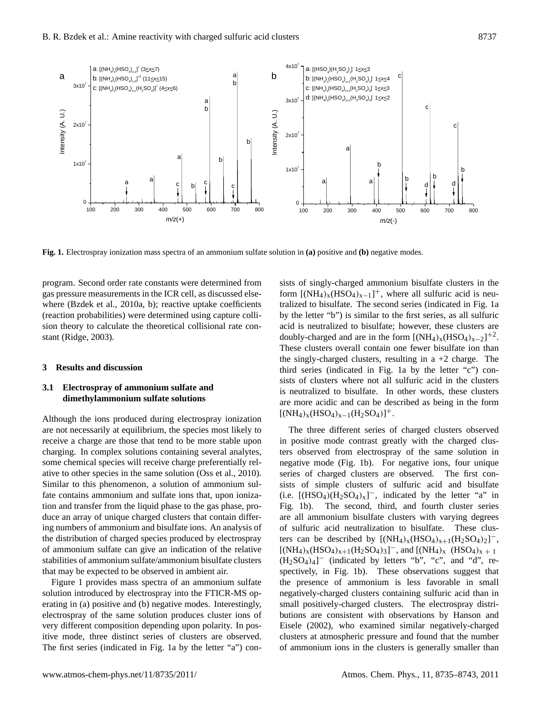

**Fig. 1.** Electrospray ionization mass spectra of an ammonium sulfate solution in **(a)** positive and **(b)** negative modes.

program. Second order rate constants were determined from gas pressure measurements in the ICR cell, as discussed elsewhere (Bzdek et al., 2010a, b); reactive uptake coefficients (reaction probabilities) were determined using capture collision theory to calculate the theoretical collisional rate constant (Ridge, 2003).

#### **3 Results and discussion**

# **3.1 Electrospray of ammonium sulfate and dimethylammonium sulfate solutions**

Although the ions produced during electrospray ionization are not necessarily at equilibrium, the species most likely to receive a charge are those that tend to be more stable upon charging. In complex solutions containing several analytes, some chemical species will receive charge preferentially relative to other species in the same solution (Oss et al., 2010). Similar to this phenomenon, a solution of ammonium sulfate contains ammonium and sulfate ions that, upon ionization and transfer from the liquid phase to the gas phase, produce an array of unique charged clusters that contain differing numbers of ammonium and bisulfate ions. An analysis of the distribution of charged species produced by electrospray of ammonium sulfate can give an indication of the relative stabilities of ammonium sulfate/ammonium bisulfate clusters that may be expected to be observed in ambient air.

Figure 1 provides mass spectra of an ammonium sulfate solution introduced by electrospray into the FTICR-MS operating in (a) positive and (b) negative modes. Interestingly, electrospray of the same solution produces cluster ions of very different composition depending upon polarity. In positive mode, three distinct series of clusters are observed. The first series (indicated in Fig. 1a by the letter "a") con-

are more acidic and can be described as being in the form sists of singly-charged ammonium bisulfate clusters in the form  $[(NH<sub>4</sub>)<sub>x</sub>(HSO<sub>4</sub>)<sub>x-1</sub>]<sup>+</sup>$ , where all sulfuric acid is neutralized to bisulfate. The second series (indicated in Fig. 1a by the letter "b") is similar to the first series, as all sulfuric acid is neutralized to bisulfate; however, these clusters are doubly-charged and are in the form  $[(NH_4)_x(HSO_4)_{x-2}]^{+2}$ . These clusters overall contain one fewer bisulfate ion than the singly-charged clusters, resulting in a  $+2$  charge. The third series (indicated in Fig. 1a by the letter "c") consists of clusters where not all sulfuric acid in the clusters is neutralized to bisulfate. In other words, these clusters  $[(NH_4)_x(HSO_4)_{x-1}(H_2SO_4)]^+$ .

The three different series of charged clusters observed in positive mode contrast greatly with the charged clusters observed from electrospray of the same solution in negative mode (Fig. 1b). For negative ions, four unique series of charged clusters are observed. The first consists of simple clusters of sulfuric acid and bisulfate (i.e.  $[(HSO<sub>4</sub>)(H<sub>2</sub>SO<sub>4</sub>)<sub>x</sub>]$ <sup>-</sup>, indicated by the letter "a" in Fig. 1b). The second, third, and fourth cluster series are all ammonium bisulfate clusters with varying degrees of sulfuric acid neutralization to bisulfate. These clusters can be described by  $[(NH_4)_x(HSO_4)_{x+1}(H_2SO_4)_2]^{-}$ ,  $[(NH_4)_x(HSO_4)_{x+1}(H_2SO_4)_3]$ <sup>-</sup>, and  $[(NH_4)_x (HSO_4)_{x+1}$  $(H_2SO_4)_4$ <sup>-</sup> (indicated by letters "b", "c", and "d", respectively, in Fig. 1b). These observations suggest that the presence of ammonium is less favorable in small negatively-charged clusters containing sulfuric acid than in small positively-charged clusters. The electrospray distributions are consistent with observations by Hanson and Eisele (2002), who examined similar negatively-charged clusters at atmospheric pressure and found that the number of ammonium ions in the clusters is generally smaller than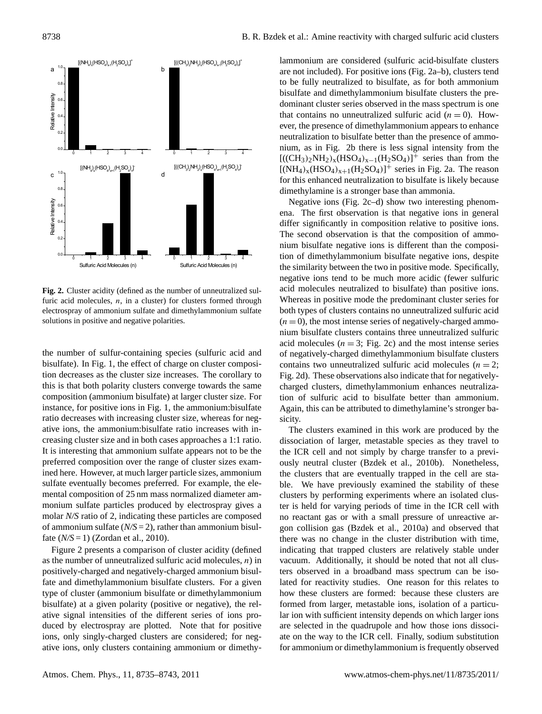

**Fig. 2.** Cluster acidity (defined as the number of unneutralized sulfuric acid molecules,  $n$ , in a cluster) for clusters formed through electrospray of ammonium sulfate and dimethylammonium sulfate solutions in positive and negative polarities.

the number of sulfur-containing species (sulfuric acid and bisulfate). In Fig. 1, the effect of charge on cluster composition decreases as the cluster size increases. The corollary to this is that both polarity clusters converge towards the same composition (ammonium bisulfate) at larger cluster size. For instance, for positive ions in Fig. 1, the ammonium:bisulfate ratio decreases with increasing cluster size, whereas for negative ions, the ammonium:bisulfate ratio increases with increasing cluster size and in both cases approaches a 1:1 ratio. It is interesting that ammonium sulfate appears not to be the preferred composition over the range of cluster sizes examined here. However, at much larger particle sizes, ammonium sulfate eventually becomes preferred. For example, the elemental composition of 25 nm mass normalized diameter ammonium sulfate particles produced by electrospray gives a molar *N/S* ratio of 2, indicating these particles are composed of ammonium sulfate (*N/S* = 2), rather than ammonium bisulfate (*N/S* = 1) (Zordan et al., 2010).

Figure 2 presents a comparison of cluster acidity (defined as the number of unneutralized sulfuric acid molecules,  $n$ ) in positively-charged and negatively-charged ammonium bisulfate and dimethylammonium bisulfate clusters. For a given type of cluster (ammonium bisulfate or dimethylammonium bisulfate) at a given polarity (positive or negative), the relative signal intensities of the different series of ions produced by electrospray are plotted. Note that for positive ions, only singly-charged clusters are considered; for negative ions, only clusters containing ammonium or dimethylammonium are considered (sulfuric acid-bisulfate clusters are not included). For positive ions (Fig. 2a–b), clusters tend to be fully neutralized to bisulfate, as for both ammonium bisulfate and dimethylammonium bisulfate clusters the predominant cluster series observed in the mass spectrum is one that contains no unneutralized sulfuric acid  $(n = 0)$ . However, the presence of dimethylammonium appears to enhance neutralization to bisulfate better than the presence of ammonium, as in Fig. 2b there is less signal intensity from the  $[((CH_3)_2NH_2)_x(HSO_4)_{x-1}(H_2SO_4)]^+$  series than from the  $[(NH_4)_x(HSO_4)_{x+1}(H_2SO_4)]^+$  series in Fig. 2a. The reason for this enhanced neutralization to bisulfate is likely because dimethylamine is a stronger base than ammonia.

Negative ions (Fig. 2c–d) show two interesting phenomena. The first observation is that negative ions in general differ significantly in composition relative to positive ions. The second observation is that the composition of ammonium bisulfate negative ions is different than the composition of dimethylammonium bisulfate negative ions, despite the similarity between the two in positive mode. Specifically, negative ions tend to be much more acidic (fewer sulfuric acid molecules neutralized to bisulfate) than positive ions. Whereas in positive mode the predominant cluster series for both types of clusters contains no unneutralized sulfuric acid  $(n = 0)$ , the most intense series of negatively-charged ammonium bisulfate clusters contains three unneutralized sulfuric acid molecules ( $n = 3$ ; Fig. 2c) and the most intense series of negatively-charged dimethylammonium bisulfate clusters contains two unneutralized sulfuric acid molecules ( $n = 2$ ; Fig. 2d). These observations also indicate that for negativelycharged clusters, dimethylammonium enhances neutralization of sulfuric acid to bisulfate better than ammonium. Again, this can be attributed to dimethylamine's stronger basicity.

The clusters examined in this work are produced by the dissociation of larger, metastable species as they travel to the ICR cell and not simply by charge transfer to a previously neutral cluster (Bzdek et al., 2010b). Nonetheless, the clusters that are eventually trapped in the cell are stable. We have previously examined the stability of these clusters by performing experiments where an isolated cluster is held for varying periods of time in the ICR cell with no reactant gas or with a small pressure of unreactive argon collision gas (Bzdek et al., 2010a) and observed that there was no change in the cluster distribution with time, indicating that trapped clusters are relatively stable under vacuum. Additionally, it should be noted that not all clusters observed in a broadband mass spectrum can be isolated for reactivity studies. One reason for this relates to how these clusters are formed: because these clusters are formed from larger, metastable ions, isolation of a particular ion with sufficient intensity depends on which larger ions are selected in the quadrupole and how those ions dissociate on the way to the ICR cell. Finally, sodium substitution for ammonium or dimethylammonium is frequently observed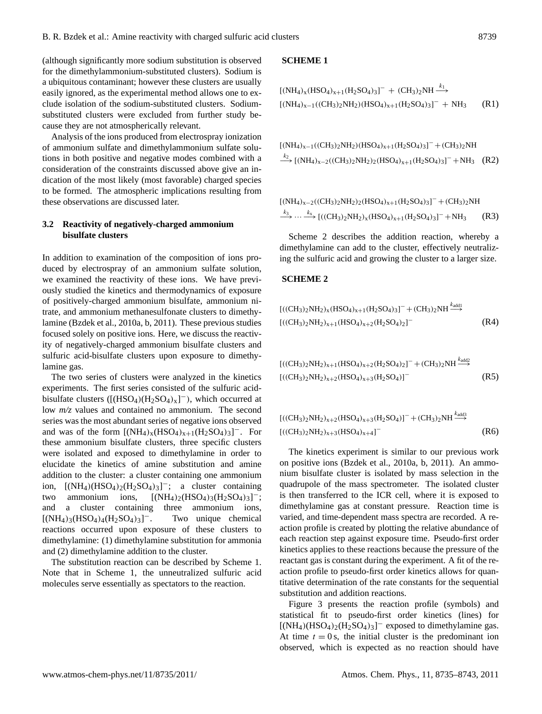(although significantly more sodium substitution is observed for the dimethylammonium-substituted clusters). Sodium is a ubiquitous contaminant; however these clusters are usually easily ignored, as the experimental method allows one to exclude isolation of the sodium-substituted clusters. Sodiumsubstituted clusters were excluded from further study because they are not atmospherically relevant.

Analysis of the ions produced from electrospray ionization of ammonium sulfate and dimethylammonium sulfate solutions in both positive and negative modes combined with a consideration of the constraints discussed above give an indication of the most likely (most favorable) charged species to be formed. The atmospheric implications resulting from these observations are discussed later.

## **3.2 Reactivity of negatively-charged ammonium bisulfate clusters**

In addition to examination of the composition of ions produced by electrospray of an ammonium sulfate solution, we examined the reactivity of these ions. We have previously studied the kinetics and thermodynamics of exposure of positively-charged ammonium bisulfate, ammonium nitrate, and ammonium methanesulfonate clusters to dimethylamine (Bzdek et al., 2010a, b, 2011). These previous studies focused solely on positive ions. Here, we discuss the reactivity of negatively-charged ammonium bisulfate clusters and sulfuric acid-bisulfate clusters upon exposure to dimethylamine gas.

The two series of clusters were analyzed in the kinetics experiments. The first series consisted of the sulfuric acidbisulfate clusters ( $[(HSO<sub>4</sub>)(H<sub>2</sub>SO<sub>4</sub>)<sub>x</sub>]$ <sup>-</sup>), which occurred at low  $m/z$  values and contained no ammonium. The second series was the most abundant series of negative ions observed and was of the form  $[(NH_4)_x(HSO_4)_{x+1}(H_2SO_4)_3]^-$ . For these ammonium bisulfate clusters, three specific clusters were isolated and exposed to dimethylamine in order to elucidate the kinetics of amine substitution and amine addition to the cluster: a cluster containing one ammonium ion,  $[(NH_4)(HSO_4)_2(H_2SO_4)_3]^-$ ; a cluster containing two ammonium ions,  $[(NH_4)_2(HSO_4)_3(H_2SO_4)_3]^{-}$ ; and a cluster containing three ammonium ions,  $[(NH_4)_3(HSO_4)_4(H_2SO_4)_3]$ . Two unique chemical reactions occurred upon exposure of these clusters to dimethylamine: (1) dimethylamine substitution for ammonia and (2) dimethylamine addition to the cluster.

The substitution reaction can be described by Scheme 1. Note that in Scheme 1, the unneutralized sulfuric acid molecules serve essentially as spectators to the reaction.

# **SCHEME 1**

$$
[(NH_4)_x(HSO_4)_{x+1}(H_2SO_4)_3]^- + (CH_3)_2NH \xrightarrow{k_1}
$$
  

$$
[(NH_4)_{x-1}((CH_3)_2NH_2)(HSO_4)_{x+1}(H_2SO_4)_3]^- + NH_3
$$
 (R1)

$$
\begin{aligned} & [(NH_4)_{x-1}((CH_3)_2NH_2)(HSO_4)_{x+1}(H_2SO_4)_3]^- + (CH_3)_2NH \\ & \xrightarrow{k_2} [(NH_4)_{x-2}((CH_3)_2NH_2)_2(HSO_4)_{x+1}(H_2SO_4)_3]^- + NH_3 \end{aligned} \quad (R2)
$$

$$
\begin{aligned} &\left[ (NH_4)_{x-2}((CH_3)_2NH_2)_2(HSO_4)_{x+1}(H_2SO_4)_3 \right]^- + (CH_3)_2NH \\ &\xrightarrow{k_3} \cdots \xrightarrow{k_N} \left[ ((CH_3)_2NH_2)_x(HSO_4)_{x+1}(H_2SO_4)_3 \right]^- + NH_3 \end{aligned} \tag{R3}
$$

Scheme 2 describes the addition reaction, whereby a dimethylamine can add to the cluster, effectively neutralizing the sulfuric acid and growing the cluster to a larger size.

#### **SCHEME 2**

$$
[((CH_3)_2NH_2)_x(HSO_4)_{x+1}(H_2SO_4)_3]^- + (CH_3)_2NH \xrightarrow{kadd} [((CH_3)_2NH_2)_{x+1}(HSO_4)_{x+2}(H_2SO_4)_2]^-
$$
 (R4)

$$
\begin{aligned} & [((CH_3)_2NH_2)_{x+1}(HSO_4)_{x+2}(H_2SO_4)_2]^- + (CH_3)_2NH \xrightarrow{k_{add2}} \\ & [((CH_3)_2NH_2)_{x+2}(HSO_4)_{x+3}(H_2SO_4)]^- \end{aligned} \tag{R5}
$$

$$
[((CH_3)_2NH_2)_{x+2}(HSO_4)_{x+3}(H_2SO_4)]^- + (CH_3)_2NH \xrightarrow{k_{add3}}
$$
  

$$
[((CH_3)_2NH_2)_{x+3}(HSO_4)_{x+4}]^-
$$
 (R6)

The kinetics experiment is similar to our previous work on positive ions (Bzdek et al., 2010a, b, 2011). An ammonium bisulfate cluster is isolated by mass selection in the quadrupole of the mass spectrometer. The isolated cluster is then transferred to the ICR cell, where it is exposed to dimethylamine gas at constant pressure. Reaction time is varied, and time-dependent mass spectra are recorded. A reaction profile is created by plotting the relative abundance of each reaction step against exposure time. Pseudo-first order kinetics applies to these reactions because the pressure of the reactant gas is constant during the experiment. A fit of the reaction profile to pseudo-first order kinetics allows for quantitative determination of the rate constants for the sequential substitution and addition reactions.

Figure 3 presents the reaction profile (symbols) and statistical fit to pseudo-first order kinetics (lines) for  $[(NH<sub>4</sub>)(HSO<sub>4</sub>)<sub>2</sub>(H<sub>2</sub>SO<sub>4</sub>)<sub>3</sub>]$ <sup>-</sup> exposed to dimethylamine gas. At time  $t = 0$  s, the initial cluster is the predominant ion observed, which is expected as no reaction should have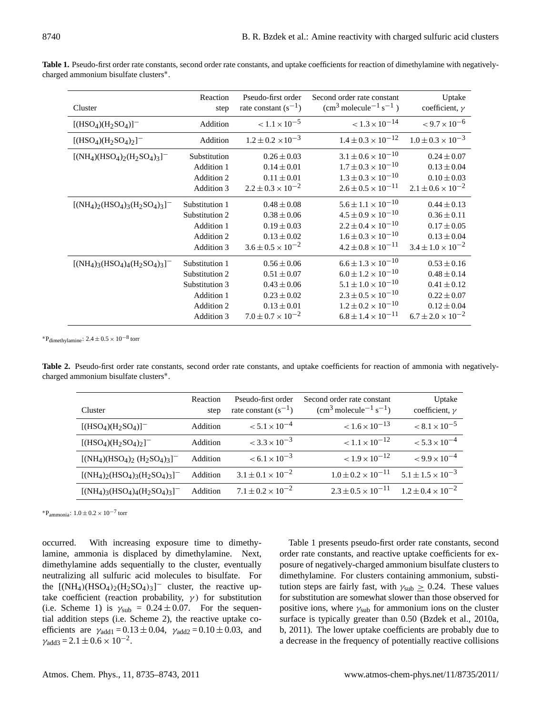| Cluster                            | Reaction       | Pseudo-first order           | Second order rate constant                                   | Uptake                       |
|------------------------------------|----------------|------------------------------|--------------------------------------------------------------|------------------------------|
|                                    | step           | rate constant $(s^{-1})$     | $\text{(cm}^3 \text{ molecule}^{-1} \text{ s}^{-1} \text{)}$ | coefficient, $\gamma$        |
| $[(HSO4)(H2SO4)]^{-}$              | Addition       | $< 1.1 \times 10^{-5}$       | $< 1.3 \times 10^{-14}$                                      | $< 9.7 \times 10^{-6}$       |
| $[(HSO4)(H2SO4)2]-$                | Addition       | $1.2 \pm 0.2 \times 10^{-3}$ | $1.4 \pm 0.3 \times 10^{-12}$                                | $1.0 \pm 0.3 \times 10^{-3}$ |
| $[(NH_4)(HSO_4)_2(H_2SO_4)_3]$     | Substitution   | $0.26 \pm 0.03$              | $3.1 \pm 0.6 \times 10^{-10}$                                | $0.24 \pm 0.07$              |
|                                    | Addition 1     | $0.14 \pm 0.01$              | $1.7 \pm 0.3 \times 10^{-10}$                                | $0.13 \pm 0.04$              |
|                                    | Addition 2     | $0.11 \pm 0.01$              | $1.3 \pm 0.3 \times 10^{-10}$                                | $0.10 \pm 0.03$              |
|                                    | Addition 3     | $2.2 \pm 0.3 \times 10^{-2}$ | $2.6 \pm 0.5 \times 10^{-11}$                                | $2.1 \pm 0.6 \times 10^{-2}$ |
| $[(NH_4)_2(HSO_4)_3(H_2SO_4)_3]$   | Substitution 1 | $0.48 \pm 0.08$              | $5.6 \pm 1.1 \times 10^{-10}$                                | $0.44 \pm 0.13$              |
|                                    | Substitution 2 | $0.38 \pm 0.06$              | $4.5 \pm 0.9 \times 10^{-10}$                                | $0.36 \pm 0.11$              |
|                                    | Addition 1     | $0.19 \pm 0.03$              | $2.2 \pm 0.4 \times 10^{-10}$                                | $0.17 \pm 0.05$              |
|                                    | Addition 2     | $0.13 \pm 0.02$              | $1.6 \pm 0.3 \times 10^{-10}$                                | $0.13 \pm 0.04$              |
|                                    | Addition 3     | $3.6 \pm 0.5 \times 10^{-2}$ | $4.2 \pm 0.8 \times 10^{-11}$                                | $3.4 \pm 1.0 \times 10^{-2}$ |
| $[(NH_4)_3(HSO_4)_4(H_2SO_4)_3]^-$ | Substitution 1 | $0.56 \pm 0.06$              | $6.6 \pm 1.3 \times 10^{-10}$                                | $0.53 \pm 0.16$              |
|                                    | Substitution 2 | $0.51 \pm 0.07$              | $6.0 \pm 1.2 \times 10^{-10}$                                | $0.48 \pm 0.14$              |
|                                    | Substitution 3 | $0.43 \pm 0.06$              | $5.1 \pm 1.0 \times 10^{-10}$                                | $0.41 \pm 0.12$              |
|                                    | Addition 1     | $0.23 \pm 0.02$              | $2.3 \pm 0.5 \times 10^{-10}$                                | $0.22 \pm 0.07$              |
|                                    | Addition 2     | $0.13 \pm 0.01$              | $1.2 \pm 0.2 \times 10^{-10}$                                | $0.12 \pm 0.04$              |
|                                    | Addition 3     | $7.0 \pm 0.7 \times 10^{-2}$ | $6.8 \pm 1.4 \times 10^{-11}$                                | $6.7 \pm 2.0 \times 10^{-2}$ |

**Table 1.** Pseudo-first order rate constants, second order rate constants, and uptake coefficients for reaction of dimethylamine with negativelycharged ammonium bisulfate clusters<sup>∗</sup> .

<sup>\*</sup>P<sub>dimethylamine</sub>:  $2.4 \pm 0.5 \times 10^{-8}$  torr

**Table 2.** Pseudo-first order rate constants, second order rate constants, and uptake coefficients for reaction of ammonia with negativelycharged ammonium bisulfate clusters<sup>∗</sup> .

| Cluster                          | Reaction<br>step | Pseudo-first order<br>rate constant $(s^{-1})$ | Second order rate constant<br>$\text{(cm}^3 \text{ molecule}^{-1} \text{ s}^{-1})$ | Uptake<br>coefficient, $\gamma$ |
|----------------------------------|------------------|------------------------------------------------|------------------------------------------------------------------------------------|---------------------------------|
| $[(HSO4)(H2SO4)]^{-}$            | Addition         | $< 5.1 \times 10^{-4}$                         | $< 1.6 \times 10^{-13}$                                                            | $< 8.1 \times 10^{-5}$          |
| $[(HSO4)(H2SO4)2]-$              | Addition         | $<$ 3.3 $\times$ 10 <sup>-3</sup>              | $< 1.1 \times 10^{-12}$                                                            | $< 5.3 \times 10^{-4}$          |
| $[(NH_4)(HSO_4)_2 (H_2SO_4)_3]$  | Addition         | $< 6.1 \times 10^{-3}$                         | $< 1.9 \times 10^{-12}$                                                            | $< 9.9 \times 10^{-4}$          |
| $[(NH_4)_2(HSO_4)_3(H_2SO_4)_3]$ | Addition         | $3.1 \pm 0.1 \times 10^{-2}$                   | $1.0 \pm 0.2 \times 10^{-11}$                                                      | $5.1 \pm 1.5 \times 10^{-3}$    |
| $[(NH_4)_3(HSO_4)_4(H_2SO_4)_3]$ | Addition         | $7.1 \pm 0.2 \times 10^{-2}$                   | $2.3 \pm 0.5 \times 10^{-11}$                                                      | $1.2 \pm 0.4 \times 10^{-2}$    |

 ${}^*P_{\text{ammonia}}$ :  $1.0 \pm 0.2 \times 10^{-7}$  torr

occurred. With increasing exposure time to dimethylamine, ammonia is displaced by dimethylamine. Next, dimethylamine adds sequentially to the cluster, eventually neutralizing all sulfuric acid molecules to bisulfate. For the  $[(NH_4)(HSO_4)_2(H_2SO_4)_3]$ <sup>-</sup> cluster, the reactive uptake coefficient (reaction probability,  $\gamma$ ) for substitution (i.e. Scheme 1) is  $\gamma_{sub} = 0.24 \pm 0.07$ . For the sequential addition steps (i.e. Scheme 2), the reactive uptake coefficients are  $\gamma_{\text{add1}} = 0.13 \pm 0.04$ ,  $\gamma_{\text{add2}} = 0.10 \pm 0.03$ , and  $\gamma_{\text{add3}} = 2.1 \pm 0.6 \times 10^{-2}$ .

Table 1 presents pseudo-first order rate constants, second order rate constants, and reactive uptake coefficients for exposure of negatively-charged ammonium bisulfate clusters to dimethylamine. For clusters containing ammonium, substitution steps are fairly fast, with  $\gamma_{sub} \geq 0.24$ . These values for substitution are somewhat slower than those observed for positive ions, where  $\gamma_{sub}$  for ammonium ions on the cluster surface is typically greater than 0.50 (Bzdek et al., 2010a, b, 2011). The lower uptake coefficients are probably due to a decrease in the frequency of potentially reactive collisions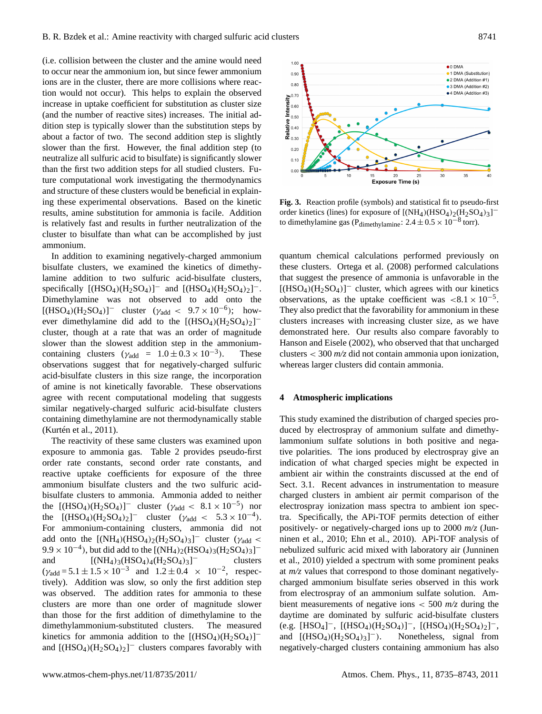(i.e. collision between the cluster and the amine would need to occur near the ammonium ion, but since fewer ammonium ions are in the cluster, there are more collisions where reaction would not occur). This helps to explain the observed increase in uptake coefficient for substitution as cluster size (and the number of reactive sites) increases. The initial addition step is typically slower than the substitution steps by about a factor of two. The second addition step is slightly slower than the first. However, the final addition step (to neutralize all sulfuric acid to bisulfate) is significantly slower than the first two addition steps for all studied clusters. Future computational work investigating the thermodynamics and structure of these clusters would be beneficial in explaining these experimental observations. Based on the kinetic results, amine substitution for ammonia is facile. Addition is relatively fast and results in further neutralization of the cluster to bisulfate than what can be accomplished by just ammonium.

In addition to examining negatively-charged ammonium bisulfate clusters, we examined the kinetics of dimethylamine addition to two sulfuric acid-bisulfate clusters, specifically  $[(HSO_4)(H_2SO_4)]^-$  and  $[(HSO_4)(H_2SO_4)_2]^-$ . Dimethylamine was not observed to add onto the  $[(HSO<sub>4</sub>)(H<sub>2</sub>SO<sub>4</sub>)]$ <sup>-</sup> cluster  $(\gamma_{add} < 9.7 \times 10^{-6})$ ; however dimethylamine did add to the  $[(HSO<sub>4</sub>)(H<sub>2</sub>SO<sub>4</sub>)<sub>2</sub>]$ <sup>-</sup> cluster, though at a rate that was an order of magnitude slower than the slowest addition step in the ammoniumcontaining clusters ( $\gamma_{\text{add}} = 1.0 \pm 0.3 \times 10^{-3}$ ). ). These observations suggest that for negatively-charged sulfuric acid-bisulfate clusters in this size range, the incorporation of amine is not kinetically favorable. These observations agree with recent computational modeling that suggests similar negatively-charged sulfuric acid-bisulfate clusters containing dimethylamine are not thermodynamically stable (Kurtén et al., 2011).

The reactivity of these same clusters was examined upon exposure to ammonia gas. Table 2 provides pseudo-first order rate constants, second order rate constants, and reactive uptake coefficients for exposure of the three ammonium bisulfate clusters and the two sulfuric acidbisulfate clusters to ammonia. Ammonia added to neither the  $[(HSO_4)(H_2SO_4)]^-$  cluster  $(\gamma_{add} < 8.1 \times 10^{-5})$  nor the  $[(HSO_4)(H_2SO_4)_2]^-$  cluster  $(\gamma_{add} < 5.3 \times 10^{-4}).$ For ammonium-containing clusters, ammonia did not add onto the  $[(NH_4)(HSO_4)_2(H_2SO_4)_3]$ <sup>-</sup> cluster ( $\gamma_{add}$  $9.9 \times 10^{-4}$ ), but did add to the [(NH<sub>4</sub>)<sub>2</sub>(HSO<sub>4</sub>)<sub>3</sub>(H<sub>2</sub>SO<sub>4</sub>)<sub>3</sub>]<sup>-</sup> and  $[(NH_4)_3(HSO_4)_4(H_2SO_4)_3]$ <sup>-</sup> <sup>−</sup> clusters  $(\gamma_{\text{add}} = 5.1 \pm 1.5 \times 10^{-3} \text{ and } 1.2 \pm 0.4 \times 10^{-2}, \text{ respec-}$ tively). Addition was slow, so only the first addition step was observed. The addition rates for ammonia to these clusters are more than one order of magnitude slower than those for the first addition of dimethylamine to the dimethylammonium-substituted clusters. The measured kinetics for ammonia addition to the  $[(HSO<sub>4</sub>)(H<sub>2</sub>SO<sub>4</sub>)]$ <sup>-</sup> and  $[(HSO<sub>4</sub>)(H<sub>2</sub>SO<sub>4</sub>)<sub>2</sub>]$ <sup>-</sup> clusters compares favorably with



**Fig. 3.** Reaction profile (symbols) and statistical fit to pseudo-first order kinetics (lines) for exposure of  $[(NH_4)(HSO_4)_2(H_2SO_4)_3]$ to dimethylamine gas (P<sub>dimethylamine</sub>:  $2.4 \pm 0.5 \times 10^{-8}$  torr).

demonstrated here. Our results also compare favorably to quantum chemical calculations performed previously on these clusters. Ortega et al. (2008) performed calculations that suggest the presence of ammonia is unfavorable in the  $[(HSO<sub>4</sub>)(H<sub>2</sub>SO<sub>4</sub>)]$ <sup>-</sup> cluster, which agrees with our kinetics observations, as the uptake coefficient was  $\langle 8.1 \times 10^{-5} \rangle$ . They also predict that the favorability for ammonium in these clusters increases with increasing cluster size, as we have Hanson and Eisele (2002), who observed that that uncharged clusters < 300 *m/z* did not contain ammonia upon ionization, whereas larger clusters did contain ammonia.

#### **4 Atmospheric implications**

This study examined the distribution of charged species produced by electrospray of ammonium sulfate and dimethylammonium sulfate solutions in both positive and negative polarities. The ions produced by electrospray give an indication of what charged species might be expected in ambient air within the constraints discussed at the end of Sect. 3.1. Recent advances in instrumentation to measure charged clusters in ambient air permit comparison of the electrospray ionization mass spectra to ambient ion spectra. Specifically, the APi-TOF permits detection of either positively- or negatively-charged ions up to 2000 *m/z* (Junninen et al., 2010; Ehn et al., 2010). APi-TOF analysis of nebulized sulfuric acid mixed with laboratory air (Junninen et al., 2010) yielded a spectrum with some prominent peaks at *m/z* values that correspond to those dominant negativelycharged ammonium bisulfate series observed in this work from electrospray of an ammonium sulfate solution. Ambient measurements of negative ions < 500 *m/z* during the daytime are dominated by sulfuric acid-bisulfate clusters  $(e.g. [HSO<sub>4</sub>]<sup>-</sup>, [(HSO<sub>4</sub>)(H<sub>2</sub>SO<sub>4</sub>)]<sup>-</sup>, [(HSO<sub>4</sub>)(H<sub>2</sub>SO<sub>4</sub>)<sub>2</sub>]<sup>-</sup>,$ and  $[(HSO<sub>4</sub>)(H<sub>2</sub>SO<sub>4</sub>)<sub>3</sub>]$ <sup>-</sup>). Nonetheless, signal from negatively-charged clusters containing ammonium has also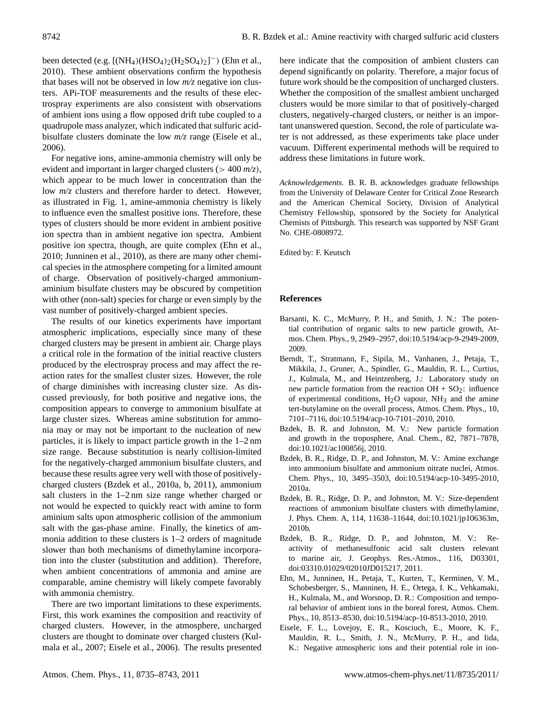been detected (e.g.  $[(NH_4)(HSO_4)_2(H_2SO_4)_2]^-$ ) (Ehn et al., 2010). These ambient observations confirm the hypothesis that bases will not be observed in low *m/z* negative ion clusters. APi-TOF measurements and the results of these electrospray experiments are also consistent with observations of ambient ions using a flow opposed drift tube coupled to a quadrupole mass analyzer, which indicated that sulfuric acidbisulfate clusters dominate the low *m/z* range (Eisele et al., 2006).

For negative ions, amine-ammonia chemistry will only be evident and important in larger charged clusters (> 400 *m/z*), which appear to be much lower in concentration than the low *m/z* clusters and therefore harder to detect. However, as illustrated in Fig. 1, amine-ammonia chemistry is likely to influence even the smallest positive ions. Therefore, these types of clusters should be more evident in ambient positive ion spectra than in ambient negative ion spectra. Ambient positive ion spectra, though, are quite complex (Ehn et al., 2010; Junninen et al., 2010), as there are many other chemical species in the atmosphere competing for a limited amount of charge. Observation of positively-charged ammoniumaminium bisulfate clusters may be obscured by competition with other (non-salt) species for charge or even simply by the vast number of positively-charged ambient species.

The results of our kinetics experiments have important atmospheric implications, especially since many of these charged clusters may be present in ambient air. Charge plays a critical role in the formation of the initial reactive clusters produced by the electrospray process and may affect the reaction rates for the smallest cluster sizes. However, the role of charge diminishes with increasing cluster size. As discussed previously, for both positive and negative ions, the composition appears to converge to ammonium bisulfate at large cluster sizes. Whereas amine substitution for ammonia may or may not be important to the nucleation of new particles, it is likely to impact particle growth in the 1–2 nm size range. Because substitution is nearly collision-limited for the negatively-charged ammonium bisulfate clusters, and because these results agree very well with those of positivelycharged clusters (Bzdek et al., 2010a, b, 2011), ammonium salt clusters in the 1–2 nm size range whether charged or not would be expected to quickly react with amine to form aminium salts upon atmospheric collision of the ammonium salt with the gas-phase amine. Finally, the kinetics of ammonia addition to these clusters is 1–2 orders of magnitude slower than both mechanisms of dimethylamine incorporation into the cluster (substitution and addition). Therefore, when ambient concentrations of ammonia and amine are comparable, amine chemistry will likely compete favorably with ammonia chemistry.

There are two important limitations to these experiments. First, this work examines the composition and reactivity of charged clusters. However, in the atmosphere, uncharged clusters are thought to dominate over charged clusters (Kulmala et al., 2007; Eisele et al., 2006). The results presented

here indicate that the composition of ambient clusters can depend significantly on polarity. Therefore, a major focus of future work should be the composition of uncharged clusters. Whether the composition of the smallest ambient uncharged clusters would be more similar to that of positively-charged clusters, negatively-charged clusters, or neither is an important unanswered question. Second, the role of particulate water is not addressed, as these experiments take place under vacuum. Different experimental methods will be required to address these limitations in future work.

*Acknowledgements.* B. R. B. acknowledges graduate fellowships from the University of Delaware Center for Critical Zone Research and the American Chemical Society, Division of Analytical Chemistry Fellowship, sponsored by the Society for Analytical Chemists of Pittsburgh. This research was supported by NSF Grant No. CHE-0808972.

Edited by: F. Keutsch

#### **References**

- Barsanti, K. C., McMurry, P. H., and Smith, J. N.: The potential contribution of organic salts to new particle growth, Atmos. Chem. Phys., 9, 2949–2957, [doi:10.5194/acp-9-2949-2009,](http://dx.doi.org/10.5194/acp-9-2949-2009) 2009.
- Berndt, T., Stratmann, F., Sipila, M., Vanhanen, J., Petaja, T., Mikkila, J., Gruner, A., Spindler, G., Mauldin, R. L., Curtius, J., Kulmala, M., and Heintzenberg, J.: Laboratory study on new particle formation from the reaction  $OH + SO<sub>2</sub>$ : influence of experimental conditions,  $H_2O$  vapour,  $NH_3$  and the amine tert-butylamine on the overall process, Atmos. Chem. Phys., 10, 7101–7116, [doi:10.5194/acp-10-7101–2010,](http://dx.doi.org/10.5194/acp-10-7101--2010) 2010.
- Bzdek, B. R. and Johnston, M. V.: New particle formation and growth in the troposphere, Anal. Chem., 82, 7871–7878, [doi:10.1021/ac100856j,](http://dx.doi.org/10.1021/ac100856j) 2010.
- Bzdek, B. R., Ridge, D. P., and Johnston, M. V.: Amine exchange into ammonium bisulfate and ammonium nitrate nuclei, Atmos. Chem. Phys., 10, 3495–3503, [doi:10.5194/acp-10-3495-2010,](http://dx.doi.org/10.5194/acp-10-3495-2010) 2010a.
- Bzdek, B. R., Ridge, D. P., and Johnston, M. V.: Size-dependent reactions of ammonium bisulfate clusters with dimethylamine, J. Phys. Chem. A, 114, 11638–11644, [doi:10.1021/jp106363m,](http://dx.doi.org/10.1021/jp106363m) 2010b.
- Bzdek, B. R., Ridge, D. P., and Johnston, M. V.: Reactivity of methanesulfonic acid salt clusters relevant to marine air, J. Geophys. Res.-Atmos., 116, D03301, doi:03310.01029/02010JD015217, 2011.
- Ehn, M., Junninen, H., Petaja, T., Kurten, T., Kerminen, V. M., Schobesberger, S., Manninen, H. E., Ortega, I. K., Vehkamaki, H., Kulmala, M., and Worsnop, D. R.: Composition and temporal behavior of ambient ions in the boreal forest, Atmos. Chem. Phys., 10, 8513–8530, [doi:10.5194/acp-10-8513-2010,](http://dx.doi.org/10.5194/acp-10-8513-2010) 2010.
- Eisele, F. L., Lovejoy, E. R., Kosciuch, E., Moore, K. F., Mauldin, R. L., Smith, J. N., McMurry, P. H., and Iida, K.: Negative atmospheric ions and their potential role in ion-